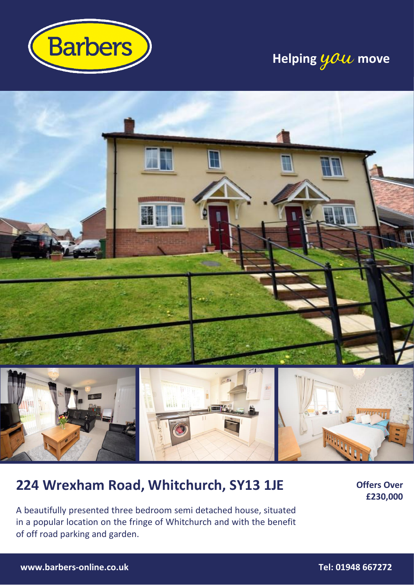

# **Helping you move**



## **224 Wrexham Road, Whitchurch, SY13 1JE**

A beautifully presented three bedroom semi detached house, situated in a popular location on the fringe of Whitchurch and with the benefit of off road parking and garden.

**Offers Over £230,000**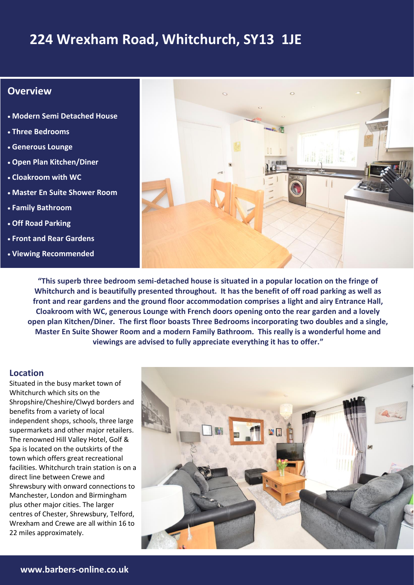# Property Address **224 Wrexham Road, Whitchurch, SY13 Helping 1JE move**

### **Overview**

- **Modern Semi Detached House**
- **Three Bedrooms**
- **Generous Lounge**
- **Open Plan Kitchen/Diner**
- **Cloakroom with WC**
- **Master En Suite Shower Room**
- **Family Bathroom**
- **Off Road Parking**
- **Front and Rear Gardens**
- **Viewing Recommended**

![](_page_1_Picture_12.jpeg)

**"This superb three bedroom semi-detached house is situated in a popular location on the fringe of Whitchurch and is beautifully presented throughout. It has the benefit of off road parking as well as front and rear gardens and the ground floor accommodation comprises a light and airy Entrance Hall, Cloakroom with WC, generous Lounge with French doors opening onto the rear garden and a lovely open plan Kitchen/Diner. The first floor boasts Three Bedrooms incorporating two doubles and a single, Master En Suite Shower Room and a modern Family Bathroom. This really is a wonderful home and viewings are advised to fully appreciate everything it has to offer."**

### **Location**

Situated in the busy market town of Whitchurch which sits on the Shropshire/Cheshire/Clwyd borders and benefits from a variety of local independent shops, schools, three large supermarkets and other major retailers. The renowned Hill Valley Hotel, Golf & Spa is located on the outskirts of the town which offers great recreational facilities. Whitchurch train station is on a direct line between Crewe and Shrewsbury with onward connections to Manchester, London and Birmingham plus other major cities. The larger centres of Chester, Shrewsbury, Telford, Wrexham and Crewe are all within 16 to 22 miles approximately.

![](_page_1_Picture_16.jpeg)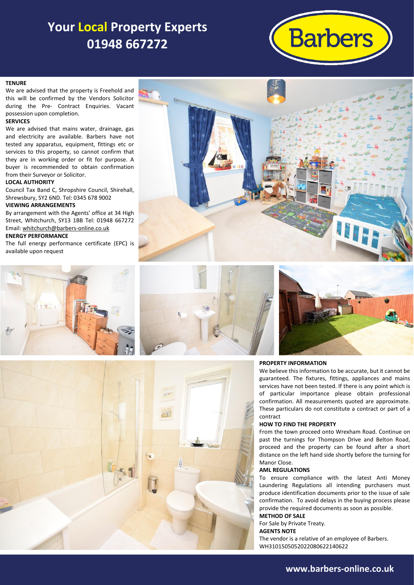### **Your Local Property Experts 01948 667272**

![](_page_2_Picture_1.jpeg)

#### **TENURE**

We are advised that the property is Freehold and this will be confirmed by the Vendors Solicitor during the Pre- Contract Enquiries. Vacant possession upon completion.

#### **SERVICES**

We are advised that mains water, drainage, gas and electricity are available. Barbers have not tested any apparatus, equipment, fittings etc or services to this property, so cannot confirm that they are in working order or fit for purpose. A buyer is recommended to obtain confirmation from their Surveyor or Solicitor.

#### **LOCAL AUTHORITY**

Council Tax Band C, Shropshire Council, Shirehall, Shrewsbury, SY2 6ND. Tel: 0345 678 9002

#### **VIEWING ARRANGEMENTS**

By arrangement with the Agents' office at 34 High Street, Whitchurch, SY13 1BB Tel: 01948 667272 Email[: whitchurch@barbers-online.co.uk](mailto:whitchurch@barbers-online.co.uk)

#### **ENERGY PERFORMANCE**

The full energy performance certificate (EPC) is available upon request

![](_page_2_Picture_12.jpeg)

![](_page_2_Picture_13.jpeg)

![](_page_2_Picture_14.jpeg)

![](_page_2_Picture_15.jpeg)

#### **PROPERTY INFORMATION**

We believe this information to be accurate, but it cannot be guaranteed. The fixtures, fittings, appliances and mains services have not been tested. If there is any point which is of particular importance please obtain professional confirmation. All measurements quoted are approximate. These particulars do not constitute a contract or part of a contract

#### **HOW TO FIND THE PROPERTY**

From the town proceed onto Wrexham Road. Continue on past the turnings for Thompson Drive and Belton Road, proceed and the property can be found after a short distance on the left hand side shortly before the turning for Manor Close.

#### **AML REGULATIONS**

To ensure compliance with the latest Anti Money Laundering Regulations all intending purchasers must produce identification documents prior to the issue of sale confirmation. To avoid delays in the buying process please provide the required documents as soon as possible. **METHOD OF SALE**

For Sale by Private Treaty. **AGENTS NOTE** The vendor is a relative of an employee of Barbers. WH3101505052022080622140622

![](_page_2_Picture_23.jpeg)

**www.barbers-online.co.uk**